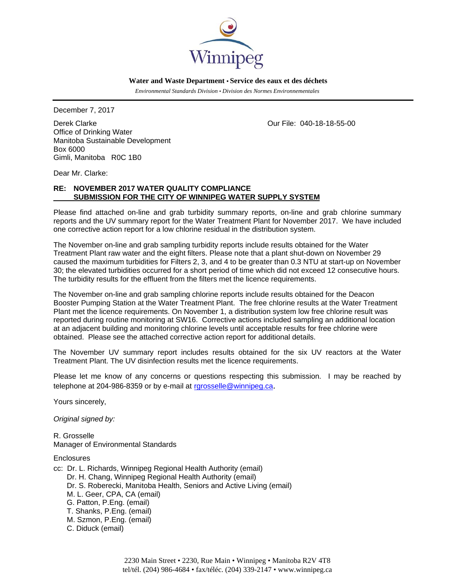

 **Water and Waste Department • Service des eaux et des déchets**

 *Environmental Standards Division • Division des Normes Environnementales* 

December 7, 2017

Derek Clarke Our File: 040-18-18-55-00 Office of Drinking Water Manitoba Sustainable Development Box 6000 Gimli, Manitoba R0C 1B0

Dear Mr. Clarke:

### **RE: NOVEMBER 2017 WATER QUALITY COMPLIANCE SUBMISSION FOR THE CITY OF WINNIPEG WATER SUPPLY SYSTEM**

Please find attached on-line and grab turbidity summary reports, on-line and grab chlorine summary reports and the UV summary report for the Water Treatment Plant for November 2017. We have included one corrective action report for a low chlorine residual in the distribution system.

The November on-line and grab sampling turbidity reports include results obtained for the Water Treatment Plant raw water and the eight filters. Please note that a plant shut-down on November 29 caused the maximum turbidities for Filters 2, 3, and 4 to be greater than 0.3 NTU at start-up on November 30; the elevated turbidities occurred for a short period of time which did not exceed 12 consecutive hours. The turbidity results for the effluent from the filters met the licence requirements.

The November on-line and grab sampling chlorine reports include results obtained for the Deacon Booster Pumping Station at the Water Treatment Plant. The free chlorine results at the Water Treatment Plant met the licence requirements. On November 1, a distribution system low free chlorine result was reported during routine monitoring at SW16. Corrective actions included sampling an additional location at an adjacent building and monitoring chlorine levels until acceptable results for free chlorine were obtained. Please see the attached corrective action report for additional details.

The November UV summary report includes results obtained for the six UV reactors at the Water Treatment Plant. The UV disinfection results met the licence requirements.

Please let me know of any concerns or questions respecting this submission. I may be reached by telephone at 204-986-8359 or by e-mail at rgrosselle@winnipeg.ca.

Yours sincerely,

*Original signed by:* 

R. Grosselle Manager of Environmental Standards

**Enclosures** 

cc: Dr. L. Richards, Winnipeg Regional Health Authority (email) Dr. H. Chang, Winnipeg Regional Health Authority (email) Dr. S. Roberecki, Manitoba Health, Seniors and Active Living (email) M. L. Geer, CPA, CA (email) G. Patton, P.Eng. (email) T. Shanks, P.Eng. (email) M. Szmon, P.Eng. (email) C. Diduck (email)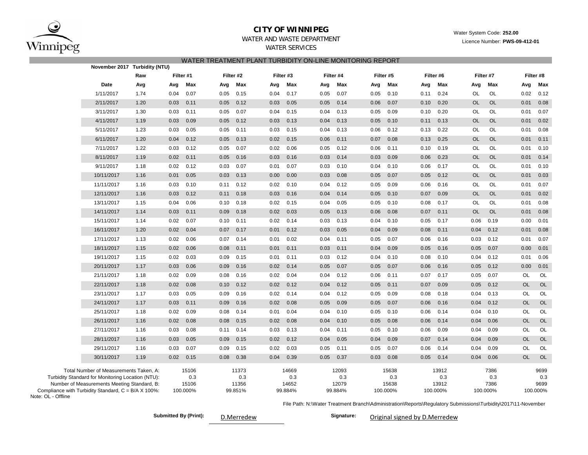

### **CITY OF WINNIPEG**

Water System Code: **252.00**

Licence Number: **PWS-09-412-01**

# WATER AND WASTE DEPARTMENT

WATER SERVICES

|                    | WATER TREATMENT PLANT TURBIDITY ON-LINE MONITORING REPORT<br>November 2017 Turbidity (NTU)                                                                                                        |                                                                                                |              |                                   |              |                                  |              |                                  |              |                                  |                                                                                                               |                                   |              |                                   |              |                                 |                        |                                 |
|--------------------|---------------------------------------------------------------------------------------------------------------------------------------------------------------------------------------------------|------------------------------------------------------------------------------------------------|--------------|-----------------------------------|--------------|----------------------------------|--------------|----------------------------------|--------------|----------------------------------|---------------------------------------------------------------------------------------------------------------|-----------------------------------|--------------|-----------------------------------|--------------|---------------------------------|------------------------|---------------------------------|
|                    |                                                                                                                                                                                                   | Filter #1<br>Filter #2<br>Filter #3<br>Filter #4<br>Filter #5<br>Filter #6<br>Filter #7<br>Raw |              |                                   |              |                                  |              |                                  |              |                                  |                                                                                                               |                                   |              |                                   |              |                                 |                        |                                 |
|                    |                                                                                                                                                                                                   |                                                                                                |              |                                   |              |                                  |              |                                  |              |                                  |                                                                                                               |                                   |              |                                   |              |                                 |                        | Filter #8                       |
|                    | Date                                                                                                                                                                                              | Avg                                                                                            | Avg          | Max                               | Avg          | Max                              | Avg          | Max                              | Avg          | Max                              | Avg                                                                                                           | Max                               | Avg          | Max                               | Avg          | Max                             | Avg                    | Max                             |
|                    | 1/11/2017                                                                                                                                                                                         | 1.74                                                                                           | 0.04         | 0.07                              | 0.05         | 0.15                             | 0.04         | 0.17                             | 0.05         | 0.07                             | 0.05                                                                                                          | 0.10                              | 0.11         | 0.24                              | OL           | OL                              | 0.02                   | 0.12                            |
|                    | 2/11/2017                                                                                                                                                                                         | 1.20                                                                                           | 0.03         | 0.11                              | 0.05         | 0.12                             | 0.03         | 0.05                             | 0.05         | 0.14                             | 0.06                                                                                                          | 0.07                              | 0.10         | 0.20                              | <b>OL</b>    | <b>OL</b>                       | 0.01                   | 0.08                            |
|                    | 3/11/2017                                                                                                                                                                                         | 1.30                                                                                           | 0.03         | 0.11                              | 0.05         | 0.07                             | 0.04         | 0.15                             | 0.04         | 0.13                             | 0.05                                                                                                          | 0.09                              | 0.10         | 0.20                              | OL           | OL                              | 0.01                   | 0.07                            |
|                    | 4/11/2017                                                                                                                                                                                         | 1.19                                                                                           | 0.03         | 0.09                              | 0.05         | 0.12                             | 0.03         | 0.13                             | 0.04         | 0.13                             | 0.05                                                                                                          | 0.10                              | 0.11         | 0.13                              | <b>OL</b>    | <b>OL</b>                       | 0.01                   | 0.02                            |
|                    | 5/11/2017                                                                                                                                                                                         | 1.23                                                                                           | 0.03         | 0.05                              | 0.05         | 0.11                             | 0.03         | 0.15                             | 0.04         | 0.13                             | 0.06                                                                                                          | 0.12                              | 0.13         | 0.22                              | OL           | OL                              | 0.01                   | 0.08                            |
|                    | 6/11/2017                                                                                                                                                                                         | 1.20                                                                                           | 0.04         | 0.12                              | 0.05         | 0.13                             | 0.02         | 0.15                             | 0.06         | 0.11                             | 0.07                                                                                                          | 0.08                              | 0.13         | 0.25                              | <b>OL</b>    | <b>OL</b>                       | 0.01                   | 0.11                            |
|                    | 7/11/2017                                                                                                                                                                                         | 1.22                                                                                           | 0.03         | 0.12                              | 0.05         | 0.07                             | 0.02         | 0.06                             | 0.05         | 0.12                             | 0.06                                                                                                          | 0.11                              | 0.10         | 0.19                              | OL           | OL                              | 0.01                   | 0.10                            |
|                    | 8/11/2017                                                                                                                                                                                         | 1.19                                                                                           | 0.02         | 0.11                              | 0.05         | 0.16                             | 0.03         | 0.16                             | 0.03         | 0.14                             | 0.03                                                                                                          | 0.09                              | 0.06         | 0.23                              | <b>OL</b>    | OL                              | 0.01                   | 0.14                            |
|                    | 9/11/2017                                                                                                                                                                                         | 1.18                                                                                           | 0.02         | 0.12                              | 0.03         | 0.07                             | 0.01         | 0.07                             | 0.03         | 0.10                             | 0.04                                                                                                          | 0.10                              | 0.06         | 0.17                              | OL           | OL                              | 0.01                   | 0.10                            |
|                    | 10/11/2017                                                                                                                                                                                        | 1.16                                                                                           | 0.01         | 0.05                              | 0.03         | 0.13                             | 0.00         | 0.00                             | 0.03         | 0.08                             | 0.05                                                                                                          | 0.07                              | 0.05         | 0.12                              | <b>OL</b>    | OL                              | 0.01                   | 0.03                            |
|                    | 11/11/2017                                                                                                                                                                                        | 1.16                                                                                           | 0.03         | 0.10                              | 0.11         | 0.12                             | 0.02         | 0.10                             | 0.04         | 0.12                             | 0.05                                                                                                          | 0.09                              | 0.06         | 0.16                              | OL           | OL                              | 0.01                   | 0.07                            |
|                    | 12/11/2017                                                                                                                                                                                        | 1.16                                                                                           | 0.03         | 0.12                              | 0.11         | 0.18                             | 0.03         | 0.16                             | 0.04         | 0.14                             | 0.05                                                                                                          | 0.10                              | 0.07         | 0.09                              | <b>OL</b>    | <b>OL</b>                       | 0.01                   | 0.02                            |
|                    | 13/11/2017                                                                                                                                                                                        | 1.15                                                                                           | 0.04         | 0.06                              | 0.10         | 0.18                             | 0.02         | 0.15                             | 0.04         | 0.05                             | 0.05                                                                                                          | 0.10                              | 0.08         | 0.17                              | OL           | OL                              | 0.01                   | 0.08                            |
|                    | 14/11/2017                                                                                                                                                                                        | 1.14                                                                                           | 0.03         | 0.11                              | 0.09         | 0.18                             | 0.02         | 0.03                             | 0.05         | 0.13                             | 0.06                                                                                                          | 0.08                              | 0.07         | 0.11                              | <b>OL</b>    | <b>OL</b>                       | 0.01                   | 0.08                            |
|                    | 15/11/2017                                                                                                                                                                                        | 1.14                                                                                           | 0.02         | 0.07<br>0.04                      | 0.10         | 0.11                             | 0.02         | 0.14                             | 0.03         | 0.13                             | 0.04                                                                                                          | 0.10                              | 0.05         | 0.17                              | 0.06         | 0.19                            | 0.00                   | 0.01                            |
|                    | 16/11/2017                                                                                                                                                                                        | 1.20                                                                                           | 0.02         |                                   | 0.07         | 0.17                             | 0.01         | 0.12                             | 0.03         | 0.05                             | 0.04                                                                                                          | 0.09                              | 0.08         | 0.11                              | 0.04         | 0.12                            | 0.01                   | 0.08                            |
|                    | 17/11/2017                                                                                                                                                                                        | 1.13                                                                                           | 0.02         | 0.06                              | 0.07         | 0.14                             | 0.01         | 0.02                             | 0.04         | 0.11                             | 0.05                                                                                                          | 0.07                              | 0.06         | 0.16                              | 0.03         | 0.12                            | 0.01                   | 0.07                            |
|                    | 18/11/2017                                                                                                                                                                                        | 1.15                                                                                           | 0.02         | 0.06                              | 0.08         | 0.11                             | 0.01         | 0.11                             | 0.03         | 0.11                             | 0.04                                                                                                          | 0.09                              | 0.05         | 0.16                              | 0.05         | 0.07                            | 0.00                   | 0.01                            |
|                    | 19/11/2017                                                                                                                                                                                        | 1.15                                                                                           | 0.02         | 0.03                              | 0.09         | 0.15                             | 0.01         | 0.11                             | 0.03         | 0.12                             | 0.04                                                                                                          | 0.10                              | 0.08         | 0.10                              | 0.04         | 0.12                            | 0.01                   | 0.06                            |
|                    | 20/11/2017                                                                                                                                                                                        | 1.17                                                                                           | 0.03         | 0.06                              | 0.09         | 0.16                             | 0.02         | 0.14                             | 0.05         | 0.07                             | 0.05                                                                                                          | 0.07                              | 0.06         | 0.16                              | 0.05         | 0.12                            | 0.00                   | 0.01                            |
|                    | 21/11/2017                                                                                                                                                                                        | 1.18                                                                                           | 0.02         | 0.09                              | 0.08         | 0.16                             | 0.02         | 0.04                             | 0.04         | 0.12                             | 0.06                                                                                                          | 0.11                              | 0.07         | 0.17                              | 0.05         | 0.07                            | OL                     | OL                              |
|                    | 22/11/2017                                                                                                                                                                                        | 1.18                                                                                           | 0.02         | 0.08                              | 0.10         | 0.12                             | 0.02         | 0.12                             | 0.04         | 0.12                             | 0.05                                                                                                          | 0.11                              | 0.07         | 0.09                              | 0.05         | 0.12                            | <b>OL</b>              | OL                              |
|                    | 23/11/2017                                                                                                                                                                                        | 1.17                                                                                           | 0.03         | 0.05                              | 0.09         | 0.16                             | 0.02         | 0.14                             | 0.04         | 0.12                             | 0.05                                                                                                          | 0.09                              | 0.08         | 0.18                              | 0.04         | 0.13                            | OL                     | OL                              |
|                    | 24/11/2017                                                                                                                                                                                        | 1.17                                                                                           | 0.03         | 0.11                              | 0.09         | 0.16                             | 0.02         | 0.08                             | 0.05         | 0.09                             | 0.05                                                                                                          | 0.07                              | 0.06         | 0.16                              | 0.04         | 0.12                            | <b>OL</b><br><b>OL</b> | OL                              |
|                    | 25/11/2017<br>26/11/2017                                                                                                                                                                          | 1.18<br>1.16                                                                                   | 0.02<br>0.02 | 0.09<br>0.08                      | 0.08<br>0.08 | 0.14<br>0.15                     | 0.01<br>0.02 | 0.04<br>0.08                     | 0.04<br>0.04 | 0.10<br>0.10                     | 0.05<br>0.05                                                                                                  | 0.10                              | 0.06<br>0.06 | 0.14<br>0.14                      | 0.04<br>0.04 | 0.10<br>0.06                    | <b>OL</b>              | OL<br><b>OL</b>                 |
|                    |                                                                                                                                                                                                   |                                                                                                |              |                                   |              |                                  |              |                                  |              |                                  |                                                                                                               | 0.08                              |              |                                   | 0.04         |                                 | <b>OL</b>              |                                 |
|                    | 27/11/2017<br>28/11/2017                                                                                                                                                                          | 1.16<br>1.16                                                                                   | 0.03         | 0.08                              | 0.11         | 0.14<br>0.15                     | 0.03         | 0.13<br>0.12                     | 0.04         | 0.11<br>0.05                     | 0.05                                                                                                          | 0.10                              | 0.06         | 0.09<br>0.14                      |              | 0.09<br>0.09                    | <b>OL</b>              | OL<br><b>OL</b>                 |
|                    | 29/11/2017                                                                                                                                                                                        |                                                                                                | 0.03<br>0.03 | 0.05<br>0.07                      | 0.09<br>0.09 | 0.15                             | 0.02<br>0.02 | 0.03                             | 0.04<br>0.05 |                                  | 0.04                                                                                                          | 0.09<br>0.07                      | 0.07<br>0.06 | 0.14                              | 0.04<br>0.04 | 0.09                            | OL                     | OL                              |
|                    | 30/11/2017                                                                                                                                                                                        | 1.16<br>1.19                                                                                   | 0.02         | 0.15                              | 0.08         | 0.38                             | 0.04         | 0.39                             | 0.05         | 0.11<br>0.37                     | 0.05<br>0.03                                                                                                  | 0.08                              | 0.05         | 0.14                              | 0.04         | 0.06                            | <b>OL</b>              | <b>OL</b>                       |
|                    |                                                                                                                                                                                                   |                                                                                                |              |                                   |              |                                  |              |                                  |              |                                  |                                                                                                               |                                   |              |                                   |              |                                 |                        |                                 |
| Note: OL - Offline | Total Number of Measurements Taken, A:<br>Turbidity Standard for Monitoring Location (NTU):<br>Number of Measurements Meeting Standard, B:<br>Compliance with Turbidity Standard, C = B/A X 100%: |                                                                                                |              | 15106<br>0.3<br>15106<br>100.000% |              | 11373<br>0.3<br>11356<br>99.851% |              | 14669<br>0.3<br>14652<br>99.884% |              | 12093<br>0.3<br>12079<br>99.884% |                                                                                                               | 15638<br>0.3<br>15638<br>100.000% |              | 13912<br>0.3<br>13912<br>100.000% |              | 7386<br>0.3<br>7386<br>100.000% |                        | 9699<br>0.3<br>9699<br>100.000% |
|                    |                                                                                                                                                                                                   |                                                                                                |              |                                   |              |                                  |              |                                  |              |                                  | File Path: N:\Water Treatment Branch\Administration\Reports\Regulatory Submissions\Turbidity\2017\11-November |                                   |              |                                   |              |                                 |                        |                                 |

Submitted By (Print): **D.Merredew Signature:** 

D.Merredew

Original signed by D.Merredew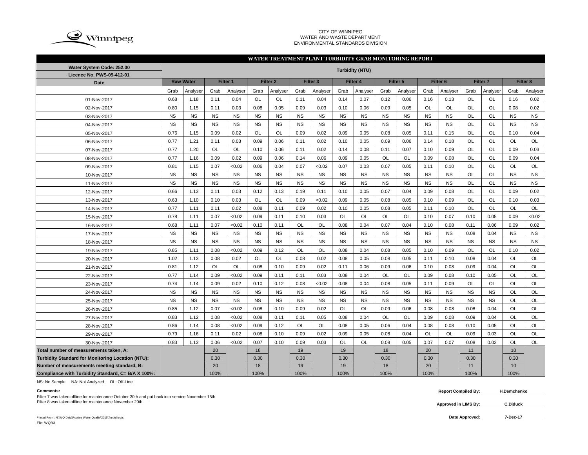

#### CITY OF WINNIPEG WATER AND WASTE DEPARTMENT ENVIRONMENTAL STANDARDS DIVISION

### **WATER TREATMENT PLANT TURBIDITY GRAB MONITORING REPORT**

| Water System Code: 252.00                                | <b>Turbidity (NTU)</b> |                  |           |           |           |                     |           |                     |           |           |           |                     |                     |           |                     |           |                  |                     |
|----------------------------------------------------------|------------------------|------------------|-----------|-----------|-----------|---------------------|-----------|---------------------|-----------|-----------|-----------|---------------------|---------------------|-----------|---------------------|-----------|------------------|---------------------|
| Licence No. PWS-09-412-01                                |                        |                  |           |           |           |                     |           |                     |           |           |           |                     |                     |           |                     |           |                  |                     |
| <b>Date</b>                                              |                        | <b>Raw Water</b> |           | Filter 1  |           | Filter <sub>2</sub> |           | Filter <sub>3</sub> |           | Filter 4  |           | Filter <sub>5</sub> | Filter <sub>6</sub> |           | Filter <sub>7</sub> |           |                  | Filter <sub>8</sub> |
|                                                          | Grab                   | Analyser         | Grab      | Analyser  | Grab      | Analyser            | Grab      | Analyser            | Grab      | Analyser  | Grab      | Analyser            | Grab                | Analyser  | Grab                | Analyser  | Grab             | Analyser            |
| 01-Nov-2017                                              | 0.68                   | 1.18             | 0.11      | 0.04      | OL        | OL                  | 0.11      | 0.04                | 0.14      | 0.07      | 0.12      | 0.06                | 0.16                | 0.13      | OL                  | <b>OL</b> | 0.16             | 0.02                |
| 02-Nov-2017                                              | 0.80                   | 1.15             | 0.11      | 0.03      | 0.08      | 0.05                | 0.09      | 0.03                | 0.10      | 0.06      | 0.09      | 0.05                | <b>OL</b>           | <b>OL</b> | <b>OL</b>           | <b>OL</b> | 0.08             | 0.02                |
| 03-Nov-2017                                              | <b>NS</b>              | <b>NS</b>        | <b>NS</b> | <b>NS</b> | <b>NS</b> | <b>NS</b>           | <b>NS</b> | <b>NS</b>           | <b>NS</b> | <b>NS</b> | <b>NS</b> | <b>NS</b>           | <b>NS</b>           | <b>NS</b> | <b>OL</b>           | <b>OL</b> | <b>NS</b>        | <b>NS</b>           |
| 04-Nov-2017                                              | <b>NS</b>              | <b>NS</b>        | <b>NS</b> | <b>NS</b> | <b>NS</b> | <b>NS</b>           | <b>NS</b> | <b>NS</b>           | <b>NS</b> | <b>NS</b> | <b>NS</b> | <b>NS</b>           | <b>NS</b>           | <b>NS</b> | <b>OL</b>           | <b>OL</b> | <b>NS</b>        | <b>NS</b>           |
| 05-Nov-2017                                              | 0.76                   | 1.15             | 0.09      | 0.02      | <b>OL</b> | OL                  | 0.09      | 0.02                | 0.09      | 0.05      | 0.08      | 0.05                | 0.11                | 0.15      | OL                  | OL        | 0.10             | 0.04                |
| 06-Nov-2017                                              | 0.77                   | 1.21             | 0.11      | 0.03      | 0.09      | 0.06                | 0.11      | 0.02                | 0.10      | 0.05      | 0.09      | 0.06                | 0.14                | 0.18      | OL                  | OL        | OL               | OL                  |
| 07-Nov-2017                                              | 0.77                   | 1.20             | OL        | <b>OL</b> | 0.10      | 0.06                | 0.11      | 0.02                | 0.14      | 0.08      | 0.11      | 0.07                | 0.10                | 0.09      | <b>OL</b>           | <b>OL</b> | 0.09             | 0.03                |
| 08-Nov-2017                                              | 0.77                   | 1.16             | 0.09      | 0.02      | 0.09      | 0.06                | 0.14      | 0.06                | 0.09      | 0.05      | <b>OL</b> | <b>OL</b>           | 0.09                | 0.08      | OL                  | <b>OL</b> | 0.09             | 0.04                |
| 09-Nov-2017                                              | 0.81                   | 1.15             | 0.07      | < 0.02    | 0.06      | 0.04                | 0.07      | < 0.02              | 0.07      | 0.03      | 0.07      | 0.05                | 0.11                | 0.10      | <b>OL</b>           | <b>OL</b> | <b>OL</b>        | OL                  |
| 10-Nov-2017                                              | <b>NS</b>              | <b>NS</b>        | <b>NS</b> | <b>NS</b> | <b>NS</b> | <b>NS</b>           | <b>NS</b> | <b>NS</b>           | <b>NS</b> | <b>NS</b> | <b>NS</b> | <b>NS</b>           | <b>NS</b>           | <b>NS</b> | <b>OL</b>           | OL        | <b>NS</b>        | <b>NS</b>           |
| 11-Nov-2017                                              | <b>NS</b>              | <b>NS</b>        | <b>NS</b> | <b>NS</b> | <b>NS</b> | <b>NS</b>           | <b>NS</b> | <b>NS</b>           | <b>NS</b> | <b>NS</b> | <b>NS</b> | <b>NS</b>           | <b>NS</b>           | <b>NS</b> | OL                  | OL        | NS               | <b>NS</b>           |
| 12-Nov-2017                                              | 0.66                   | 1.13             | 0.11      | 0.03      | 0.12      | 0.13                | 0.19      | 0.11                | 0.10      | 0.05      | 0.07      | 0.04                | 0.09                | 0.08      | OL                  | OL        | 0.09             | 0.02                |
| 13-Nov-2017                                              | 0.63                   | 1.10             | 0.10      | 0.03      | OL        | OL                  | 0.09      | < 0.02              | 0.09      | 0.05      | 0.08      | 0.05                | 0.10                | 0.09      | OL                  | OL        | 0.10             | 0.03                |
| 14-Nov-2017                                              | 0.77                   | 1.11             | 0.11      | 0.02      | 0.08      | 0.11                | 0.09      | 0.02                | 0.10      | 0.05      | 0.08      | 0.05                | 0.11                | 0.10      | OL                  | OL        | OL               | <b>OL</b>           |
| 15-Nov-2017                                              | 0.78                   | 1.11             | 0.07      | < 0.02    | 0.09      | 0.11                | 0.10      | 0.03                | <b>OL</b> | <b>OL</b> | <b>OL</b> | <b>OL</b>           | 0.10                | 0.07      | 0.10                | 0.05      | 0.09             | <0.02               |
| 16-Nov-2017                                              | 0.68                   | 1.11             | 0.07      | <0.02     | 0.10      | 0.11                | OL        | OL                  | 0.08      | 0.04      | 0.07      | 0.04                | 0.10                | 0.08      | 0.11                | 0.06      | 0.09             | 0.02                |
| 17-Nov-2017                                              | <b>NS</b>              | <b>NS</b>        | <b>NS</b> | <b>NS</b> | <b>NS</b> | <b>NS</b>           | <b>NS</b> | <b>NS</b>           | <b>NS</b> | <b>NS</b> | <b>NS</b> | <b>NS</b>           | <b>NS</b>           | <b>NS</b> | 0.08                | 0.04      | <b>NS</b>        | <b>NS</b>           |
| 18-Nov-2017                                              | <b>NS</b>              | <b>NS</b>        | <b>NS</b> | <b>NS</b> | <b>NS</b> | <b>NS</b>           | <b>NS</b> | <b>NS</b>           | <b>NS</b> | <b>NS</b> | <b>NS</b> | <b>NS</b>           | <b>NS</b>           | <b>NS</b> | <b>NS</b>           | <b>NS</b> | <b>NS</b>        | <b>NS</b>           |
| 19-Nov-2017                                              | 0.85                   | 1.11             | 0.08      | <0.02     | 0.09      | 0.12                | OL        | OL                  | 0.08      | 0.04      | 0.08      | 0.05                | 0.10                | 0.09      | OL                  | OL        | 0.10             | 0.02                |
| 20-Nov-2017                                              | 1.02                   | 1.13             | 0.08      | 0.02      | <b>OL</b> | <b>OL</b>           | 0.08      | 0.02                | 0.08      | 0.05      | 0.08      | 0.05                | 0.11                | 0.10      | 0.08                | 0.04      | <b>OL</b>        | <b>OL</b>           |
| 21-Nov-2017                                              | 0.81                   | 1.12             | OL        | OL        | 0.08      | 0.10                | 0.09      | 0.02                | 0.11      | 0.06      | 0.09      | 0.06                | 0.10                | 0.08      | 0.09                | 0.04      | OL               | OL                  |
| 22-Nov-2017                                              | 0.77                   | 1.14             | 0.09      | < 0.02    | 0.09      | 0.11                | 0.11      | 0.03                | 0.08      | 0.04      | <b>OL</b> | OL                  | 0.09                | 0.08      | 0.10                | 0.05      | OL               | OL                  |
| 23-Nov-2017                                              | 0.74                   | 1.14             | 0.09      | 0.02      | 0.10      | 0.12                | 0.08      | < 0.02              | 0.08      | 0.04      | 0.08      | 0.05                | 0.11                | 0.09      | OL                  | OL        | OL               | OL                  |
| 24-Nov-2017                                              | <b>NS</b>              | <b>NS</b>        | <b>NS</b> | <b>NS</b> | <b>NS</b> | <b>NS</b>           | <b>NS</b> | <b>NS</b>           | <b>NS</b> | <b>NS</b> | <b>NS</b> | <b>NS</b>           | <b>NS</b>           | <b>NS</b> | <b>NS</b>           | <b>NS</b> | OL               | OL                  |
| 25-Nov-2017                                              | <b>NS</b>              | <b>NS</b>        | <b>NS</b> | <b>NS</b> | <b>NS</b> | <b>NS</b>           | <b>NS</b> | <b>NS</b>           | <b>NS</b> | <b>NS</b> | <b>NS</b> | <b>NS</b>           | <b>NS</b>           | <b>NS</b> | <b>NS</b>           | <b>NS</b> | <b>OL</b>        | OL                  |
| 26-Nov-2017                                              | 0.85                   | 1.12             | 0.07      | <0.02     | 0.08      | 0.10                | 0.09      | 0.02                | OL        | OL        | 0.09      | 0.06                | 0.08                | 0.08      | 0.08                | 0.04      | OL               | OL                  |
| 27-Nov-2017                                              | 0.83                   | 1.12             | 0.08      | <0.02     | 0.08      | 0.11                | 0.11      | 0.05                | 0.08      | 0.04      | <b>OL</b> | OL                  | 0.09                | 0.08      | 0.09                | 0.04      | OL               | OL                  |
| 28-Nov-2017                                              | 0.86                   | 1.14             | 0.08      | <0.02     | 0.09      | 0.12                | OL        | OL                  | 0.08      | 0.05      | 0.06      | 0.04                | 0.08                | 0.08      | 0.10                | 0.05      | OL               | OL                  |
| 29-Nov-2017                                              | 0.79                   | 1.16             | 0.11      | 0.02      | 0.08      | 0.10                | 0.09      | 0.02                | 0.09      | 0.05      | 0.08      | 0.04                | OL                  | <b>OL</b> | 0.09                | 0.03      | OL               | OL                  |
| 30-Nov-2017                                              | 0.83                   | 1.13             | 0.06      | < 0.02    | 0.07      | 0.10                | 0.09      | 0.03                | <b>OL</b> | <b>OL</b> | 0.08      | 0.05                | 0.07                | 0.07      | 0.08                | 0.03      | OL               | <b>OL</b>           |
| Total number of measurements taken, A:                   |                        |                  | 20        |           | 18        |                     | 19        |                     | 19        |           | 18        |                     | 20                  |           | 11                  |           | 10               |                     |
| <b>Turbidity Standard for Monitoring Location (NTU):</b> |                        |                  | 0.30      |           | 0.30      |                     | 0.30      |                     | 0.30      |           | 0.30      |                     | 0.30                |           | 0.30                |           | 0.30             |                     |
| Number of measurements meeting standard, B:              |                        |                  | 20        |           | 18        |                     | 19        |                     | 19        |           | 18        |                     | 20                  |           | 11                  |           | 10 <sup>10</sup> |                     |
| Compliance with Turbidity Standard, C= B/A X 100%:       |                        |                  | 100%      |           | 100%      |                     | 100%      |                     | 100%      |           | 100%      |                     | 100%                |           | 100%                |           | 100%             |                     |

NS: No Sample NA: Not Analyzed OL: Off-Line

**Approved in LIMS By:** Filter 8 was taken offline for maintenance November 20th. **C.Diduck** Filter 7 was taken offline for maintenance October 30th and put back into service November 15th.

**Comments: Report Compiled By: H.Demchenko**

Printed From : N:\WQ Data\Routine Water Quality\2015\Turbidity.xls File: WQR3

**7-Dec-17**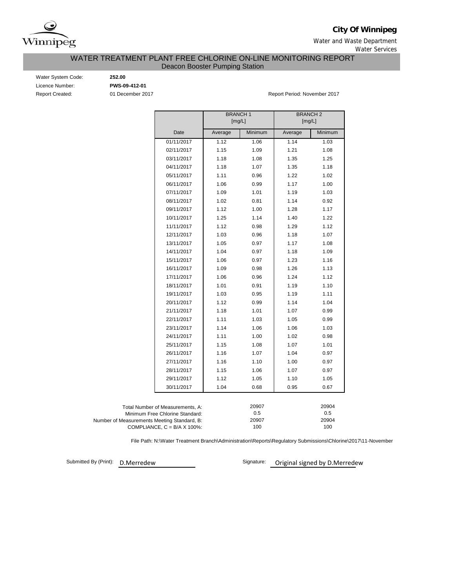

**City Of Winnipeg**

Water and Waste Department Water Services

WATER TREATMENT PLANT FREE CHLORINE ON-LINE MONITORING REPORT

Deacon Booster Pumping Station

Water System Code: **252.00** Licence Number: **PWS-09-412-01**

Report Created: 01 December 2017 CREATED 2017 Report Period: November 2017

|                                             | <b>BRANCH1</b><br>[mg/L] | <b>BRANCH2</b><br>[mg/L] |         |         |  |
|---------------------------------------------|--------------------------|--------------------------|---------|---------|--|
|                                             |                          |                          |         |         |  |
| Date                                        | Average                  | Minimum                  | Average | Minimum |  |
| 01/11/2017                                  | 1.12                     | 1.06                     | 1.14    | 1.03    |  |
| 02/11/2017                                  | 1.15                     | 1.09                     | 1.21    | 1.08    |  |
| 03/11/2017                                  | 1.18                     | 1.08                     | 1.35    | 1.25    |  |
| 04/11/2017                                  | 1.18                     | 1.07                     | 1.35    | 1.18    |  |
| 05/11/2017                                  | 1.11                     | 0.96                     | 1.22    | 1.02    |  |
| 06/11/2017                                  | 1.06                     | 0.99                     | 1.17    | 1.00    |  |
| 07/11/2017                                  | 1.09                     | 1.01                     | 1.19    | 1.03    |  |
| 08/11/2017                                  | 1.02                     | 0.81                     | 1.14    | 0.92    |  |
| 09/11/2017                                  | 1.12                     | 1.00                     | 1.28    | 1.17    |  |
| 10/11/2017                                  | 1.25                     | 1.14                     | 1.40    | 1.22    |  |
| 11/11/2017                                  | 1.12                     | 0.98                     | 1.29    | 1.12    |  |
| 12/11/2017                                  | 1.03                     | 0.96                     | 1.18    | 1.07    |  |
| 13/11/2017                                  | 1.05                     | 0.97                     | 1.17    | 1.08    |  |
| 14/11/2017                                  | 1.04                     | 0.97                     | 1.18    | 1.09    |  |
| 15/11/2017                                  | 1.06                     | 0.97                     | 1.23    | 1.16    |  |
| 16/11/2017                                  | 1.09                     | 0.98                     | 1.26    | 1.13    |  |
| 17/11/2017                                  | 1.06                     | 0.96                     | 1.24    | 1.12    |  |
| 18/11/2017                                  | 1.01                     | 0.91                     | 1.19    | 1.10    |  |
| 19/11/2017                                  | 1.03                     | 0.95                     | 1.19    | 1.11    |  |
| 20/11/2017                                  | 1.12                     | 0.99                     | 1.14    | 1.04    |  |
| 21/11/2017                                  | 1.18                     | 1.01                     | 1.07    | 0.99    |  |
| 22/11/2017                                  | 1.11                     | 1.03                     | 1.05    | 0.99    |  |
| 23/11/2017                                  | 1.14                     | 1.06                     | 1.06    | 1.03    |  |
| 24/11/2017                                  | 1.11                     | 1.00                     | 1.02    | 0.98    |  |
| 25/11/2017                                  | 1.15                     | 1.08                     | 1.07    | 1.01    |  |
| 26/11/2017                                  | 1.16                     | 1.07                     | 1.04    | 0.97    |  |
| 27/11/2017                                  | 1.16                     | 1.10                     | 1.00    | 0.97    |  |
| 28/11/2017                                  | 1.15                     | 1.06                     | 1.07    | 0.97    |  |
| 29/11/2017                                  | 1.12                     | 1.05                     | 1.10    | 1.05    |  |
| 30/11/2017                                  | 1.04                     | 0.68                     | 0.95    | 0.67    |  |
|                                             |                          |                          |         |         |  |
| Total Number of Measurements, A:            |                          | 20907                    |         | 20904   |  |
| Minimum Free Chlorine Standard:             |                          | 0.5                      |         | 0.5     |  |
| Number of Measurements Meeting Standard, B: |                          | 20907                    |         | 20904   |  |
| COMPLIANCE, $C = B/A \times 100\%$ :        |                          | 100                      |         | 100     |  |

File Path: N:\Water Treatment Branch\Administration\Reports\Regulatory Submissions\Chlorine\2017\11-November

Submitted By (Print):

D.Merredew **D.Merredew** Signature: Original signed by D.Merredew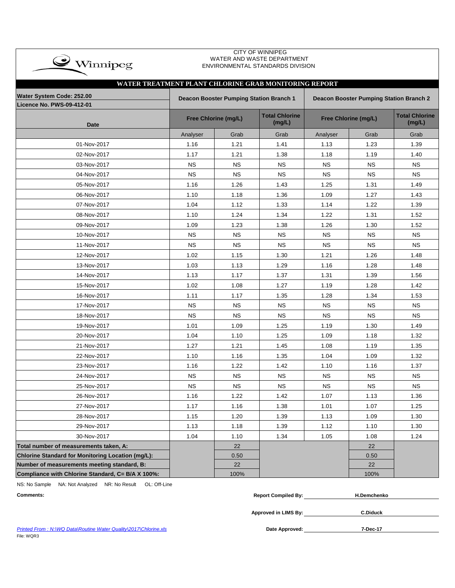| $\bullet$ Winnipeg                                            |           |                                                                                           | WATER AND WASTE DEPARTMENT<br>ENVIRONMENTAL STANDARDS DIVISION |                      |                                 |           |  |  |  |  |  |  |
|---------------------------------------------------------------|-----------|-------------------------------------------------------------------------------------------|----------------------------------------------------------------|----------------------|---------------------------------|-----------|--|--|--|--|--|--|
| WATER TREATMENT PLANT CHLORINE GRAB MONITORING REPORT         |           |                                                                                           |                                                                |                      |                                 |           |  |  |  |  |  |  |
|                                                               |           |                                                                                           |                                                                |                      |                                 |           |  |  |  |  |  |  |
| Water System Code: 252.00<br><b>Licence No. PWS-09-412-01</b> |           | Deacon Booster Pumping Station Branch 1<br><b>Deacon Booster Pumping Station Branch 2</b> |                                                                |                      |                                 |           |  |  |  |  |  |  |
| <b>Date</b>                                                   |           | <b>Free Chlorine (mg/L)</b>                                                               | <b>Total Chlorine</b><br>(mg/L)                                | Free Chlorine (mg/L) | <b>Total Chlorine</b><br>(mg/L) |           |  |  |  |  |  |  |
|                                                               | Analyser  | Grab                                                                                      | Grab                                                           | Analyser             | Grab                            | Grab      |  |  |  |  |  |  |
| 01-Nov-2017                                                   | 1.16      | 1.21                                                                                      | 1.41                                                           | 1.13                 | 1.23                            | 1.39      |  |  |  |  |  |  |
| 02-Nov-2017                                                   | 1.17      | 1.21                                                                                      | 1.38                                                           | 1.18                 | 1.19                            | 1.40      |  |  |  |  |  |  |
| 03-Nov-2017                                                   | <b>NS</b> | <b>NS</b>                                                                                 | <b>NS</b>                                                      | <b>NS</b>            | <b>NS</b>                       | <b>NS</b> |  |  |  |  |  |  |
| 04-Nov-2017                                                   | <b>NS</b> | <b>NS</b>                                                                                 | <b>NS</b>                                                      | <b>NS</b>            | <b>NS</b>                       | <b>NS</b> |  |  |  |  |  |  |
| 05-Nov-2017                                                   | 1.16      | 1.26                                                                                      | 1.43                                                           | 1.25                 | 1.31                            | 1.49      |  |  |  |  |  |  |
| 06-Nov-2017                                                   | 1.10      | 1.18                                                                                      | 1.36                                                           | 1.09                 | 1.27                            | 1.43      |  |  |  |  |  |  |
| 07-Nov-2017                                                   | 1.04      | 1.12                                                                                      | 1.33                                                           | 1.14                 | 1.22                            | 1.39      |  |  |  |  |  |  |
| 08-Nov-2017                                                   | 1.10      | 1.24                                                                                      | 1.34                                                           | 1.22                 | 1.31                            | 1.52      |  |  |  |  |  |  |
| 09-Nov-2017                                                   | 1.09      | 1.23                                                                                      | 1.38                                                           | 1.26                 | 1.30                            | 1.52      |  |  |  |  |  |  |
| 10-Nov-2017                                                   | <b>NS</b> | <b>NS</b>                                                                                 | <b>NS</b>                                                      | <b>NS</b>            | <b>NS</b>                       | <b>NS</b> |  |  |  |  |  |  |
| 11-Nov-2017                                                   | <b>NS</b> | <b>NS</b>                                                                                 | <b>NS</b>                                                      | <b>NS</b>            | <b>NS</b>                       | <b>NS</b> |  |  |  |  |  |  |
| 12-Nov-2017                                                   | 1.02      | 1.15                                                                                      | 1.30                                                           | 1.21                 | 1.26                            | 1.48      |  |  |  |  |  |  |
| 13-Nov-2017                                                   | 1.03      | 1.13                                                                                      | 1.29                                                           | 1.16                 | 1.28                            | 1.48      |  |  |  |  |  |  |
| 14-Nov-2017                                                   | 1.13      | 1.17                                                                                      | 1.37                                                           | 1.31                 | 1.39                            | 1.56      |  |  |  |  |  |  |
| 15-Nov-2017                                                   | 1.02      | 1.08                                                                                      | 1.27                                                           | 1.19                 | 1.28                            | 1.42      |  |  |  |  |  |  |
| 16-Nov-2017                                                   | 1.11      | 1.17                                                                                      | 1.35                                                           | 1.28                 | 1.34                            | 1.53      |  |  |  |  |  |  |
| 17-Nov-2017                                                   | <b>NS</b> | <b>NS</b>                                                                                 | <b>NS</b>                                                      | <b>NS</b>            | <b>NS</b>                       | <b>NS</b> |  |  |  |  |  |  |
| 18-Nov-2017                                                   | <b>NS</b> | <b>NS</b>                                                                                 | <b>NS</b>                                                      | <b>NS</b>            | <b>NS</b>                       | <b>NS</b> |  |  |  |  |  |  |
| 19-Nov-2017                                                   | 1.01      | 1.09                                                                                      | 1.25                                                           | 1.19                 | 1.30                            | 1.49      |  |  |  |  |  |  |
| 20-Nov-2017                                                   | 1.04      | 1.10                                                                                      | 1.25                                                           | 1.09                 | 1.18                            | 1.32      |  |  |  |  |  |  |
| 21-Nov-2017                                                   | 1.27      | 1.21                                                                                      | 1.45                                                           | 1.08                 | 1.19                            | 1.35      |  |  |  |  |  |  |
| 22-Nov-2017                                                   | 1.10      | 1.16                                                                                      | 1.35                                                           | 1.04                 | 1.09                            | 1.32      |  |  |  |  |  |  |
| 23-Nov-2017                                                   | 1.16      | 1.22                                                                                      | 1.42                                                           | 1.10                 | 1.16                            | 1.37      |  |  |  |  |  |  |
| 24-Nov-2017                                                   | <b>NS</b> | <b>NS</b>                                                                                 | <b>NS</b>                                                      | <b>NS</b>            | <b>NS</b>                       | <b>NS</b> |  |  |  |  |  |  |
| 25-Nov-2017                                                   | <b>NS</b> | NS.                                                                                       | <b>NS</b>                                                      | NS.                  | <b>NS</b>                       | <b>NS</b> |  |  |  |  |  |  |
| 26-Nov-2017                                                   | 1.16      | 1.22                                                                                      | 1.42                                                           | 1.07                 | 1.13                            | 1.36      |  |  |  |  |  |  |
| 27-Nov-2017                                                   | 1.17      | 1.16                                                                                      | 1.38                                                           | 1.01                 | 1.07                            | 1.25      |  |  |  |  |  |  |
| 28-Nov-2017                                                   | 1.15      | 1.20                                                                                      | 1.39                                                           | 1.13                 | 1.09                            | 1.30      |  |  |  |  |  |  |
| 29-Nov-2017                                                   | 1.13      | 1.18                                                                                      | 1.39                                                           | 1.12                 | 1.10                            | 1.30      |  |  |  |  |  |  |
| 30-Nov-2017                                                   | 1.04      | 1.10                                                                                      | 1.34                                                           | 1.05                 | 1.08                            | 1.24      |  |  |  |  |  |  |
| Total number of measurements taken, A:                        |           | 22                                                                                        |                                                                |                      | 22                              |           |  |  |  |  |  |  |
| <b>Chlorine Standard for Monitoring Location (mg/L):</b>      |           | 0.50                                                                                      |                                                                |                      | 0.50                            |           |  |  |  |  |  |  |
| Number of measurements meeting standard, B:                   |           | 22                                                                                        |                                                                |                      | 22                              |           |  |  |  |  |  |  |
| Compliance with Chlorine Standard, C= B/A X 100%:             |           | 100%                                                                                      |                                                                |                      | 100%                            |           |  |  |  |  |  |  |

CITY OF WINNIPEG

NS: No Sample NA: Not Analyzed NR: No Result OL: Off-Line

 $\rightarrow$ 

| <b>Comments:</b><br>$\sim$ $\sim$ $\sim$ $\sim$ $\sim$ $\sim$ | <b>Report Compiled By:</b> | H.Demchenko |
|---------------------------------------------------------------|----------------------------|-------------|
|                                                               |                            |             |

**Approved in LIMS By: C.Diduck**

Printed From : N:\WQ Data\Routine Water Quality\2017\Chlorine.xls **Date Approved:** Date Approved: File: WQR3

**7-Dec-17**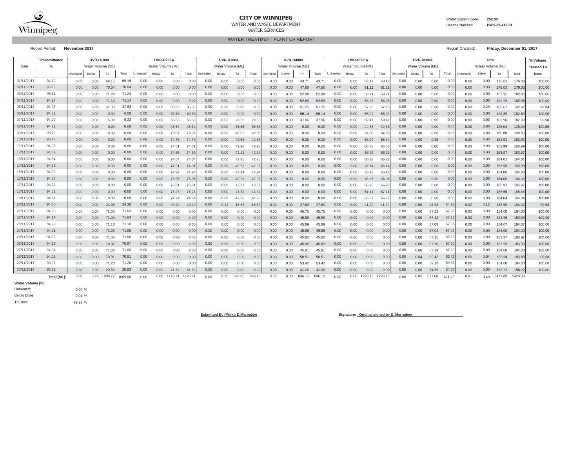

### **CITY OF WINNIPEG**WATER AND WASTE DEPARTMENT

Water System Code: **252.00**

 Licence Number:**PWS-09-412-01**

WATER TREATMENT PLANT UV REPORT WATER SERVICES

Report Period: **November 2017** Report Created: **Friday, December 01, 2017**

|            | Transmittance      |          | <b>UVR-D100A</b> |         |                   |                  | <b>UVR-D200A</b>  |         |                |                  | <b>UVR-D300A</b>  |        |        |          | <b>UVR-D400A</b>  |        |                |                  | <b>UVR-D500A</b> |         |         |                  | UVR-D600A        |        |        |           | Total             |         |         | % Volume          |
|------------|--------------------|----------|------------------|---------|-------------------|------------------|-------------------|---------|----------------|------------------|-------------------|--------|--------|----------|-------------------|--------|----------------|------------------|------------------|---------|---------|------------------|------------------|--------|--------|-----------|-------------------|---------|---------|-------------------|
| Date       |                    |          | Water Volume [ML |         |                   |                  | Water Volume [ML] |         |                |                  | Water Volume [ML] |        |        |          | Water Volume [ML] |        |                |                  | Water Volume [ML |         |         |                  | Water Volume [ML |        |        |           | Water Volume [ML] |         |         | <b>Treated To</b> |
|            |                    | Untreate | Below            | To      | Total             | <b>Intreated</b> | Below             | To      | Total          | <b>Jntreated</b> | Below             | To     | Total  | Intreate | Below             | To     | Total          | <b>Jntreated</b> | Below            | To      | Total   | <b>Jntreated</b> | Below            | To     | Total  | Untreated | Below             | To      | Total   | Dose              |
| 01/11/2017 | 94.79              | 0.00     | 0.00             | 69.15   | 69.1              | 0.00             | 0.00              | 0.00    | 0.00           | 0.00             | 0.00              | 0.00   | 0.0(   | 0.00     | 0.00              | 43.71  | 43.7           | 0.00             | 0.00             | 63.17   | 63.1    | 0.00             | 0.00             | 0.00   | 0.00   | 0.00      | 0.00              | 176.03  | 176.03  | 100.00            |
| 02/11/201  | 95.28              | 0.00     | 0.00             | 70.04   | 70.0              | 0.00             | 0.00              | 0.00    | 0.00           | 0.00             | 0.00              | 0.00   | 0.0    | 0.00     | 0.00              | 47.90  | 47.90          | 0.00             | 0.00             | 61.11   | 61.1    | 0.00             | 0.00             | 0.00   | 0.00   | 0.00      | 0.00              | 179.05  | 179.05  | 100.00            |
| 03/11/201  | 95.11              | 0.00     | 0.00             | 71.24   | 71.24             | 0.00             | 0.00              | 0.00    | 0.00           | 0.00             | 0.00              | 0.00   | 0.0    | 0.00     | 0.00              | 52.99  | 52.99          | 0.00             | 0.00             | 58.7    | 58.7    | 0.00             | 0.00             | 0.00   | 0.00   | 0.00      | 0.00              | 182.95  | 182.95  | 100.00            |
| 04/11/201  | 94.99              | 0.00     | 0.00             | 71.14   | 71.1              | 0.00             | 0.00              | 0.00    | 0.00           | 0.00             | 0.00              | 0.00   | 0.00   | 0.00     | 0.00              | 52.89  | 52.89          | 0.00             | 0.00             | 58.95   | 58.95   | 0.00             | 0.00             | 0.00   | 0.00   | 0.00      | 0.00              | 182.98  | 182.98  | 100.00            |
| 05/11/201  | 94.93              | 0.00     | 0.29             | 37.33   | 37.63             | 0.00             | 0.00              | 36.85   | 36.85          | 0.00             | 0.00              | 0.00   | 0.0    | 0.00     | 0.00              | 51.25  | 51.25          | 0.00             | 0.00             | 57.25   | 57.25   | 0.00             | 0.00             | 0.00   | 0.00   | 0.00      | 0.29              | 182.67  | 182.97  | 99.84             |
| 06/11/201  | 94.81              | 0.00     | 0.00             | 0.00    | 0.00              | 0.00             | 0.00              | 69.83   | 69.83          | 0.00             | 0.00              | 0.00   | 0.00   | 0.00     | 0.00              | 56.14  | 56.1           | 0.00             | 0.00             | 56.92   | 56.92   | 0.00             | 0.00             | 0.00   | 0.00   | 0.00      | 0.00              | 182.89  | 182.89  | 100.00            |
| 07/11/201  | 94.90              | 0.00     | 0.00             | 5.33    | 5.33              | 0.00             | 0.00              | 56.63   | 56.63          | 0.00             | 0.03              | 23.56  | 23.6   | 0.00     | 0.00              | 37.96  | 37.96          | 0.00             | 0.00             | 59.47   | 59.4    | 0.00             | 0.00             | 0.00   | 0.00   | 0.00      | 0.03              | 182.96  | 182.99  | 99.98             |
| 08/11/201  | 94.21              | 0.00     | 0.00             | 0.00    | 0.00              | 0.00             | 0.00              | 48.64   | 48.6           | 0.00             | 0.00              | 36.85  | 36.8   | 0.00     | 0.00              | 0.00   | 0.00           | 0.00             | 0.00             | 42.56   | 42.56   | 0.00             | 0.00             | 0.00   | 0.00   | 0.00      | 0.00              | 128.04  | 128.04  | 100.00            |
| 09/11/201  | 95.22              | 0.00     | 0.00             | 0.00    | 0.00              | 0.00             | 0.00              | 73.97   | 73.97          | 0.00             | 0.00              | 42.03  | 42.0   | 0.00     | 0.00              | 0.00   | 0.00           | 0.00             | 0.00             | 64.80   | 64.80   | 0.00             | 0.00             | 0.00   | 0.00   | 0.00      | 0.00              | 180.80  | 180.80  | 100.00            |
| 10/11/201  | 95.48              | 0.00     | 0.00             | 0.00    | 0.00              | 0.00             | 0.00              | 74.76   | 74.76          | 0.00             | 0.00              | 42.85  | 42.8   | 0.00     | 0.00              | 0.00   | 0.00           | 0.00             | 0.00             | 65.94   | 65.94   | 0.00             | 0.00             | 0.35   | 0.35   | 0.00      | 0.00              | 183.91  | 183.91  | 100.00            |
| 11/11/201  | 94.98              | 0.00     | 0.00             | 0.00    | 0.00              | 0.00             | 0.00              | 74.51   | $74.5^{\circ}$ | 0.00             | 0.00              | 42.90  | 42.9   | 0.00     | 0.00              | 0.00   | 0.00           | 0.00             | 0.00             | 66.58   | 66.58   | 0.00             | 0.00             | 0.00   | 0.00   | 0.00      | 0.00              | 183.99  | 183.99  | 100.00            |
| 12/11/201  | 94.87              | 0.00     | 0.00             | 0.00    | 0.00              | 0.00             | 0.00              | 74.66   | 74.66          | 0.00             | 0.00              | 42.92  | 42.92  | 0.00     | 0.00              | 0.00   | 0.00           | 0.00             | 0.00             | 66.39   | 66.39   | 0.00             | 0.00             | 0.00   | 0.00   | 0.00      | 0.00              | 183.97  | 183.97  | 100.00            |
| 13/11/201  | 94.84              | 0.00     | 0.00             | 0.00    | 0.00              | 0.00             | 0.00              | 74.84   | 74.8           | 0.00             | 0.00              | 42.95  | 42.9   | 0.00     | 0.00              | 0.00   | 0.00           | 0.00             | 0.00             | 66.22   | 66.22   | 0.00             | 0.00             | 0.00   | 0.00   | 0.00      | 0.00              | 184.01  | 184.01  | 100.00            |
| 14/11/201  | 94.86              | 0.00     | 0.00             | 0.00    | 0.00              | 0.00             | 0.00              | 74.91   | 74.9           | 0.00             | 0.00              | 42.93  | 42.9   | 0.00     | 0.00              | 0.00   | 0.00           | 0.00             | 0.00             | 66.14   | 66.1    | 0.00             | 0.00             | 0.00   | 0.00   | 0.00      | 0.00              | 183.98  | 183.98  | 100.00            |
| 15/11/201  | 94.90              | 0.00     | 0.00             | 0.00    | 0.00              | 0.00             | 0.00              | 74.94   | 74.94          | 0.00             | 0.00              | 42.94  | 42.9   | 0.00     | 0.00              | 0.00   | 0.00           | 0.00             | 0.00             | 66.12   | 66.1    | 0.00             | 0.00             | 0.00   | 0.00   | 0.00      | 0.00              | 184.00  | 184.00  | 100.00            |
| 16/11/201  | 94.88              | 0.00     | 0.00             | 0.00    | 0.00              | 0.00             | 0.00              | 75.08   | 75.08          | 0.00             | 0.00              | 42.93  | 42.9   | 0.00     | 0.00              | 0.00   | 0.00           | 0.00             | 0.00             | 66.05   | 66.05   | 0.00             | 0.00             | 0.00   | 0.00   | 0.00      | 0.00              | 184.06  | 184.06  | 100.00            |
| 17/11/201  | 94.92              | 0.00     | 0.00             | 0.00    | 0.00              | 0.00             | 0.00              | 75.61   | $75.6^{\circ}$ | 0.00             | 0.00              | 43.37  | 43.3   | 0.00     | 0.00              | 0.00   | 0.00           | 0.00             | 0.00             | 66.98   | 66.98   | 0.00             | 0.00             | 0.00   | 0.00   | 0.00      | 0.00              | 185.97  | 185.97  | 100.00            |
| 18/11/201  | 94.82              | 0.00     | 0.00             | 0.00    | 0.00              | 0.00             | 0.00              | 75.23   | 75.23          | 0.00             | 0.00              | 43.32  | 43.32  | 0.00     | 0.00              | 0.00   | 0.00           | 0.00             | 0.00             | 67.11   | 67.1    | 0.00             | 0.00             | 0.00   | 0.00   | 0.00      | 0.00              | 185.66  | 185.66  | 100.00            |
| 19/11/201  | 94.71              | 0.00     | 0.00             | 0.00    | 0.00              | 0.00             | 0.00              | 74.74   | 74.7           | 0.00             | 0.00              | 42.93  | 42.9   | 0.00     | 0.00              | 0.00   | 0.00           | 0.00             | 0.00             | 66.37   | 66.3    | 0.00             | 0.00             | 0.00   | 0.00   | 0.00      | 0.00              | 184.04  | 184.04  | 100.00            |
| 20/11/201  | 94.40              | 0.00     | 0.00             | 24.36   | 24.36             | 0.00             | 0.00              | 49.20   | 49.20          | 0.00             | 0.12              | 16.47  | 16.5   | 0.00     | 0.00              | 27.60  | 27.6           | 0.00             | 0.00             | 41.29   | 41.29   | 0.00             | 0.00             | 24.98  | 24.9   | 0.00      | 0.12              | 183.90  | 184.02  | 99.93             |
| 21/11/201  | 94.20              | 0.00     | 0.00             | 71.03   | 71.03             | 0.00             | 0.00              | 0.00    | 0.00           | 0.00             | 0.00              | 0.00   | 0.0    | 0.00     | 0.00              | 45.75  | 45.7           | 0.00             | 0.00             | 0.00    | 0.00    | 0.00             | 0.00             | 67.22  | 67.2   | 0.00      | 0.00              | 184.00  | 184.00  | 100.00            |
| 22/11/201  | 94.17              | 0.00     | 0.00             | 71.04   | 71.04             | 0.00             | 0.00              | 0.00    | 0.00           | 0.00             | 0.00              | 0.00   | 0.00   | 0.00     | 0.00              | 45.80  | 45.80          | 0.00             | 0.00             | 0.00    | 0.00    | 0.00             | 0.00             | 67.12  | 67.12  | 0.00      | 0.00              | 183.96  | 183.96  | 100.00            |
| 23/11/201  | 94.20              | 0.00     | 0.00             | 71.10   | 71.1              | 0.00             | 0.00              | 0.00    | 0.00           | 0.00             | 0.00              | 0.00   | 0.00   | 0.00     | 0.00              | 45.89  | 45.89          | 0.00             | 0.00             | 0.00    | 0.00    | 0.00             | 0.00             | 67.08  | 67.08  | 0.00      | 0.00              | 184.07  | 184.07  | 100.00            |
| 24/11/201  | 94.21              | 0.00     | 0.00             | 71.09   | 71.09             | 0.00             | 0.00              | 0.00    | 0.00           | 0.00             | 0.00              | 0.00   | 0.00   | 0.00     | 0.00              | 45.88  | 45.88          | 0.00             | 0.00             | 0.00    | 0.00    | 0.00             | 0.00             | 67.03  | 67.0   | 0.00      | 0.00              | 184.00  | 184.00  | 100.00            |
| 25/11/201  | 94.22              | 0.00     | 0.00             | 71.00   | 71.00             | 0.00             | 0.00              | 0.00    | 0.0(           | 0.00             | 0.00              | 0.00   | 0.0    | 0.00     | 0.00              | 45.82  | 45.82          | 0.00             | 0.00             | 0.00    | 0.00    | 0.00             | 0.00             | 67.15  | 67.    | 0.00      | 0.00              | 183.97  | 183.97  | 100.00            |
| 26/11/201  | 94.16              | 0.00     | 0.00             | 70.97   | 70.97             | 0.00             | 0.00              | 0.00    | 0.00           | 0.00             | 0.00              | 0.00   | 0.0    | 0.00     | 0.00              | 45.82  | 45.82          | 0.00             | 0.00             | 0.00    | 0.00    | 0.00             | 0.00             | 67.20  | 67.2   | 0.00      | 0.00              | 183.99  | 183.99  | 100.00            |
| 27/11/201  | 94.04              | 0.00     | 0.00             | 71.00   | 71.0              | 0.00             | 0.00              | 0.00    | 0.00           | 0.00             | 0.00              | 0.00   | 0.0    | 0.00     | 0.00              | 45.81  | 45.8           | 0.00             | 0.00             | 0.00    | 0.00    | 0.00             | 0.00             | 67.19  | 67.    | 0.00      | 0.00              | 184.00  | 184.00  | 100.00            |
| 28/11/201  | 94.05              | 0.00     | 0.00             | 70.91   | 70.9 <sup>°</sup> | 0.00             | 0.00              | 0.00    | 0.00           | 0.00             | 0.00              | 0.00   | 0.0(   | 0.00     | 0.00              | 50.51  | $50.5^{\circ}$ | 0.00             | 0.00             | 0.00    | 0.00    | 0.00             | 0.04             | 62.42  | 62.4   | 0.00      | 0.04              | 183.84  | 183.88  | 99.98             |
| 29/11/201  | 93.97              | 0.00     | 0.00             | 71.20   | 71.20             | 0.00             | 0.00              | 0.00    | 0.00           | 0.00             | 0.00              | 0.00   | 0.00   | 0.00     | 0.00              | 53.42  | 53.42          | 0.00             | 0.00             | 0.00    | 0.00    | 0.00             | 0.00             | 59.38  | 59.38  | 0.00      | 0.00              | 184.00  | 184.00  | 100.00            |
| 30/11/2011 | 93.62              | 0.00     | 0.00             | 20.83   | 20.83             | 0.00             | 0.00              | 41.82   | 41.82          | 0.00             | 0.00              | 0.00   | 0.00   | 0.00     | 0.00              | 41.00  | 41.00          | 0.00             | 0.00             | 0.00    | 0.00    | 0.00             | 0.00             | 54.56  | 54.56  | 0.00      | 0.00              | 158.22  | 158.22  | 100.00            |
|            | <b>Total [ML]:</b> | 0.00     | 0.29             | 1008.77 | 1009.06           | 0.00             | 0.00              | 1126.21 | 1126.2         | 0.00             | 0.15              | 548.95 | 549.10 | 0.00     | 0.00              | 836.15 | 836.15         | 0.00             | 0.00             | 1228.13 | 1228.13 | 0.00             | 0.05             | 671.68 | 671.73 | 0.01      | 0.49              | 5419.89 | 5420.38 |                   |

**Water Volume [%]:**

# Untreated:

Below Dose

0.00 %0.01 % 99.99 %

To Dose

Submitted By (Print): D.Merredew **Number of State of State State State State State State State State State State State State State State State State State State State State State State State State State State State State S**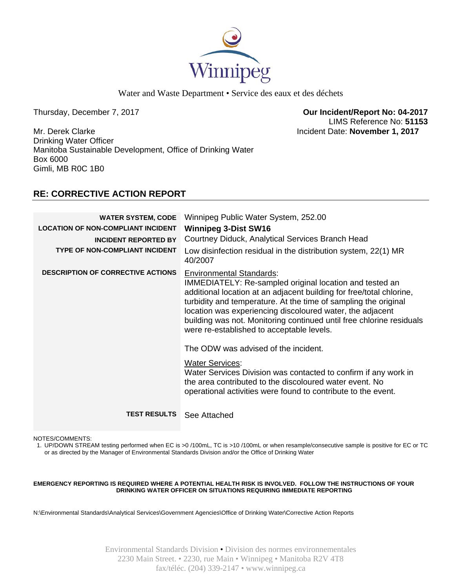

Water and Waste Department • Service des eaux et des déchets

Thursday, December 7, 2017 **Our Incident/Report No: 04-2017**  LIMS Reference No: **51153**

Mr. Derek Clarke Incident Date: **November 1, 2017**  Drinking Water Officer Manitoba Sustainable Development, Office of Drinking Water Box 6000 Gimli, MB R0C 1B0

## **RE: CORRECTIVE ACTION REPORT**

| <b>WATER SYSTEM, CODE</b><br><b>LOCATION OF NON-COMPLIANT INCIDENT</b> | Winnipeg Public Water System, 252.00<br><b>Winnipeg 3-Dist SW16</b>                                                                                                                                                                                                                                                                                                                                                     |
|------------------------------------------------------------------------|-------------------------------------------------------------------------------------------------------------------------------------------------------------------------------------------------------------------------------------------------------------------------------------------------------------------------------------------------------------------------------------------------------------------------|
| <b>INCIDENT REPORTED BY</b>                                            | Courtney Diduck, Analytical Services Branch Head                                                                                                                                                                                                                                                                                                                                                                        |
| <b>TYPE OF NON-COMPLIANT INCIDENT</b>                                  | Low disinfection residual in the distribution system, 22(1) MR<br>40/2007                                                                                                                                                                                                                                                                                                                                               |
| <b>DESCRIPTION OF CORRECTIVE ACTIONS</b>                               | <b>Environmental Standards:</b><br>IMMEDIATELY: Re-sampled original location and tested an<br>additional location at an adjacent building for free/total chlorine,<br>turbidity and temperature. At the time of sampling the original<br>location was experiencing discoloured water, the adjacent<br>building was not. Monitoring continued until free chlorine residuals<br>were re-established to acceptable levels. |
|                                                                        | The ODW was advised of the incident.                                                                                                                                                                                                                                                                                                                                                                                    |
|                                                                        | <b>Water Services:</b><br>Water Services Division was contacted to confirm if any work in<br>the area contributed to the discoloured water event. No<br>operational activities were found to contribute to the event.                                                                                                                                                                                                   |
| <b>TEST RESULTS</b> See Attached                                       |                                                                                                                                                                                                                                                                                                                                                                                                                         |

NOTES/COMMENTS:

1. UP/DOWN STREAM testing performed when EC is >0 /100mL, TC is >10 /100mL or when resample/consecutive sample is positive for EC or TC or as directed by the Manager of Environmental Standards Division and/or the Office of Drinking Water

### **EMERGENCY REPORTING IS REQUIRED WHERE A POTENTIAL HEALTH RISK IS INVOLVED. FOLLOW THE INSTRUCTIONS OF YOUR DRINKING WATER OFFICER ON SITUATIONS REQUIRING IMMEDIATE REPORTING**

N:\Environmental Standards\Analytical Services\Government Agencies\Office of Drinking Water\Corrective Action Reports